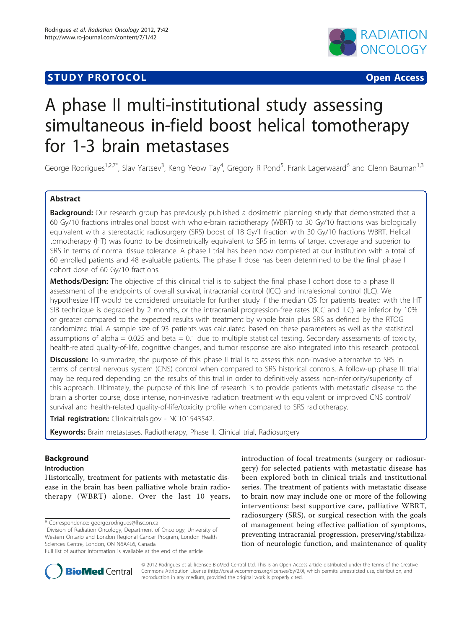## **STUDY PROTOCOL CONSUMING THE CONSUMING OPEN ACCESS**



# A phase II multi-institutional study assessing simultaneous in-field boost helical tomotherapy for 1-3 brain metastases

George Rodrigues<sup>1,2,7\*</sup>, Slav Yartsev<sup>3</sup>, Keng Yeow Tay<sup>4</sup>, Gregory R Pond<sup>5</sup>, Frank Lagerwaard<sup>6</sup> and Glenn Bauman<sup>1,3</sup>

## Abstract

Background: Our research group has previously published a dosimetric planning study that demonstrated that a 60 Gy/10 fractions intralesional boost with whole-brain radiotherapy (WBRT) to 30 Gy/10 fractions was biologically equivalent with a stereotactic radiosurgery (SRS) boost of 18 Gy/1 fraction with 30 Gy/10 fractions WBRT. Helical tomotherapy (HT) was found to be dosimetrically equivalent to SRS in terms of target coverage and superior to SRS in terms of normal tissue tolerance. A phase I trial has been now completed at our institution with a total of 60 enrolled patients and 48 evaluable patients. The phase II dose has been determined to be the final phase I cohort dose of 60 Gy/10 fractions.

Methods/Design: The objective of this clinical trial is to subject the final phase I cohort dose to a phase II assessment of the endpoints of overall survival, intracranial control (ICC) and intralesional control (ILC). We hypothesize HT would be considered unsuitable for further study if the median OS for patients treated with the HT SIB technique is degraded by 2 months, or the intracranial progression-free rates (ICC and ILC) are inferior by 10% or greater compared to the expected results with treatment by whole brain plus SRS as defined by the RTOG randomized trial. A sample size of 93 patients was calculated based on these parameters as well as the statistical assumptions of alpha =  $0.025$  and beta = 0.1 due to multiple statistical testing. Secondary assessments of toxicity, health-related quality-of-life, cognitive changes, and tumor response are also integrated into this research protocol.

Discussion: To summarize, the purpose of this phase II trial is to assess this non-invasive alternative to SRS in terms of central nervous system (CNS) control when compared to SRS historical controls. A follow-up phase III trial may be required depending on the results of this trial in order to definitively assess non-inferiority/superiority of this approach. Ultimately, the purpose of this line of research is to provide patients with metastatic disease to the brain a shorter course, dose intense, non-invasive radiation treatment with equivalent or improved CNS control/ survival and health-related quality-of-life/toxicity profile when compared to SRS radiotherapy.

Trial registration: Clinicaltrials.gov - [NCT01543542](http://www.clinicaltrials.gov/ct2/show/NCT01543542).

Keywords: Brain metastases, Radiotherapy, Phase II, Clinical trial, Radiosurgery

## Background

## Introduction

Historically, treatment for patients with metastatic disease in the brain has been palliative whole brain radiotherapy (WBRT) alone. Over the last 10 years,

\* Correspondence: [george.rodrigues@lhsc.on.ca](mailto:george.rodrigues@lhsc.on.ca)

introduction of focal treatments (surgery or radiosurgery) for selected patients with metastatic disease has been explored both in clinical trials and institutional series. The treatment of patients with metastatic disease to brain now may include one or more of the following interventions: best supportive care, palliative WBRT, radiosurgery (SRS), or surgical resection with the goals of management being effective palliation of symptoms, preventing intracranial progression, preserving/stabilization of neurologic function, and maintenance of quality



© 2012 Rodrigues et al; licensee BioMed Central Ltd. This is an Open Access article distributed under the terms of the Creative Commons Attribution License [\(http://creativecommons.org/licenses/by/2.0](http://creativecommons.org/licenses/by/2.0)), which permits unrestricted use, distribution, and reproduction in any medium, provided the original work is properly cited.

<sup>&</sup>lt;sup>1</sup> Division of Radiation Oncology, Department of Oncology, University of Western Ontario and London Regional Cancer Program, London Health Sciences Centre, London, ON N6A4L6, Canada

Full list of author information is available at the end of the article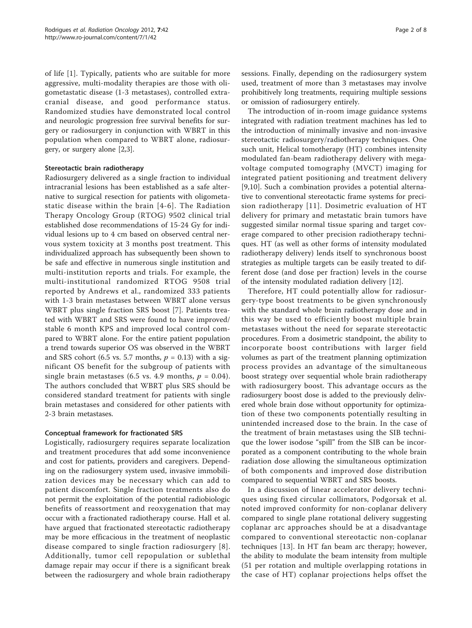of life [[1\]](#page-7-0). Typically, patients who are suitable for more aggressive, multi-modality therapies are those with oligometastatic disease (1-3 metastases), controlled extracranial disease, and good performance status. Randomized studies have demonstrated local control and neurologic progression free survival benefits for surgery or radiosurgery in conjunction with WBRT in this population when compared to WBRT alone, radiosurgery, or surgery alone [\[2,3](#page-7-0)].

#### Stereotactic brain radiotherapy

Radiosurgery delivered as a single fraction to individual intracranial lesions has been established as a safe alternative to surgical resection for patients with oligometastatic disease within the brain [[4](#page-7-0)-[6\]](#page-7-0). The Radiation Therapy Oncology Group (RTOG) 9502 clinical trial established dose recommendations of 15-24 Gy for individual lesions up to 4 cm based on observed central nervous system toxicity at 3 months post treatment. This individualized approach has subsequently been shown to be safe and effective in numerous single institution and multi-institution reports and trials. For example, the multi-institutional randomized RTOG 9508 trial reported by Andrews et al., randomized 333 patients with 1-3 brain metastases between WBRT alone versus WBRT plus single fraction SRS boost [[7\]](#page-7-0). Patients treated with WBRT and SRS were found to have improved/ stable 6 month KPS and improved local control compared to WBRT alone. For the entire patient population a trend towards superior OS was observed in the WBRT and SRS cohort (6.5 vs. 5.7 months,  $p = 0.13$ ) with a significant OS benefit for the subgroup of patients with single brain metastases (6.5 vs. 4.9 months,  $p = 0.04$ ). The authors concluded that WBRT plus SRS should be considered standard treatment for patients with single brain metastases and considered for other patients with 2-3 brain metastases.

## Conceptual framework for fractionated SRS

Logistically, radiosurgery requires separate localization and treatment procedures that add some inconvenience and cost for patients, providers and caregivers. Depending on the radiosurgery system used, invasive immobilization devices may be necessary which can add to patient discomfort. Single fraction treatments also do not permit the exploitation of the potential radiobiologic benefits of reassortment and reoxygenation that may occur with a fractionated radiotherapy course. Hall et al. have argued that fractionated stereotactic radiotherapy may be more efficacious in the treatment of neoplastic disease compared to single fraction radiosurgery [[8\]](#page-7-0). Additionally, tumor cell repopulation or sublethal damage repair may occur if there is a significant break between the radiosurgery and whole brain radiotherapy sessions. Finally, depending on the radiosurgery system used, treatment of more than 3 metastases may involve prohibitively long treatments, requiring multiple sessions or omission of radiosurgery entirely.

The introduction of in-room image guidance systems integrated with radiation treatment machines has led to the introduction of minimally invasive and non-invasive stereotactic radiosurgery/radiotherapy techniques. One such unit, Helical tomotherapy (HT) combines intensity modulated fan-beam radiotherapy delivery with megavoltage computed tomography (MVCT) imaging for integrated patient positioning and treatment delivery [[9,10](#page-7-0)]. Such a combination provides a potential alternative to conventional stereotactic frame systems for precision radiotherapy [[11](#page-7-0)]. Dosimetric evaluation of HT delivery for primary and metastatic brain tumors have suggested similar normal tissue sparing and target coverage compared to other precision radiotherapy techniques. HT (as well as other forms of intensity modulated radiotherapy delivery) lends itself to synchronous boost strategies as multiple targets can be easily treated to different dose (and dose per fraction) levels in the course of the intensity modulated radiation delivery [[12\]](#page-7-0).

Therefore, HT could potentially allow for radiosurgery-type boost treatments to be given synchronously with the standard whole brain radiotherapy dose and in this way be used to efficiently boost multiple brain metastases without the need for separate stereotactic procedures. From a dosimetric standpoint, the ability to incorporate boost contributions with larger field volumes as part of the treatment planning optimization process provides an advantage of the simultaneous boost strategy over sequential whole brain radiotherapy with radiosurgery boost. This advantage occurs as the radiosurgery boost dose is added to the previously delivered whole brain dose without opportunity for optimization of these two components potentially resulting in unintended increased dose to the brain. In the case of the treatment of brain metastases using the SIB technique the lower isodose "spill" from the SIB can be incorporated as a component contributing to the whole brain radiation dose allowing the simultaneous optimization of both components and improved dose distribution compared to sequential WBRT and SRS boosts.

In a discussion of linear accelerator delivery techniques using fixed circular collimators, Podgorsak et al. noted improved conformity for non-coplanar delivery compared to single plane rotational delivery suggesting coplanar arc approaches should be at a disadvantage compared to conventional stereotactic non-coplanar techniques [[13\]](#page-7-0). In HT fan beam arc therapy; however, the ability to modulate the beam intensity from multiple (51 per rotation and multiple overlapping rotations in the case of HT) coplanar projections helps offset the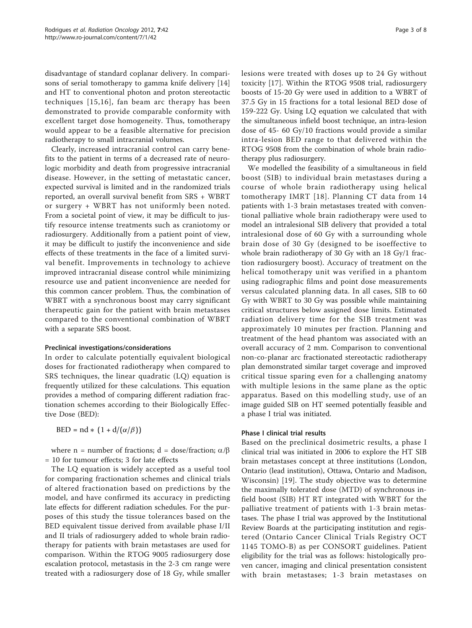disadvantage of standard coplanar delivery. In comparisons of serial tomotherapy to gamma knife delivery [[14](#page-7-0)] and HT to conventional photon and proton stereotactic techniques [[15](#page-7-0),[16](#page-7-0)], fan beam arc therapy has been demonstrated to provide comparable conformity with excellent target dose homogeneity. Thus, tomotherapy would appear to be a feasible alternative for precision radiotherapy to small intracranial volumes.

Clearly, increased intracranial control can carry benefits to the patient in terms of a decreased rate of neurologic morbidity and death from progressive intracranial disease. However, in the setting of metastatic cancer, expected survival is limited and in the randomized trials reported, an overall survival benefit from SRS + WBRT or surgery + WBRT has not uniformly been noted. From a societal point of view, it may be difficult to justify resource intense treatments such as craniotomy or radiosurgery. Additionally from a patient point of view, it may be difficult to justify the inconvenience and side effects of these treatments in the face of a limited survival benefit. Improvements in technology to achieve improved intracranial disease control while minimizing resource use and patient inconvenience are needed for this common cancer problem. Thus, the combination of WBRT with a synchronous boost may carry significant therapeutic gain for the patient with brain metastases compared to the conventional combination of WBRT with a separate SRS boost.

#### Preclinical investigations/considerations

In order to calculate potentially equivalent biological doses for fractionated radiotherapy when compared to SRS techniques, the linear quadratic (LQ) equation is frequently utilized for these calculations. This equation provides a method of comparing different radiation fractionation schemes according to their Biologically Effective Dose (BED):

 $BED = nd * (1 + d/(\alpha/\beta))$ 

where n = number of fractions;  $d = dose/fraction; \alpha/\beta$ = 10 for tumour effects; 3 for late effects

The LQ equation is widely accepted as a useful tool for comparing fractionation schemes and clinical trials of altered fractionation based on predictions by the model, and have confirmed its accuracy in predicting late effects for different radiation schedules. For the purposes of this study the tissue tolerances based on the BED equivalent tissue derived from available phase I/II and II trials of radiosurgery added to whole brain radiotherapy for patients with brain metastases are used for comparison. Within the RTOG 9005 radiosurgery dose escalation protocol, metastasis in the 2-3 cm range were treated with a radiosurgery dose of 18 Gy, while smaller lesions were treated with doses up to 24 Gy without toxicity [[17](#page-7-0)]. Within the RTOG 9508 trial, radiosurgery boosts of 15-20 Gy were used in addition to a WBRT of 37.5 Gy in 15 fractions for a total lesional BED dose of 159-222 Gy. Using LQ equation we calculated that with the simultaneous infield boost technique, an intra-lesion dose of 45- 60 Gy/10 fractions would provide a similar intra-lesion BED range to that delivered within the RTOG 9508 from the combination of whole brain radiotherapy plus radiosurgery.

We modelled the feasibility of a simultaneous in field boost (SIB) to individual brain metastases during a course of whole brain radiotherapy using helical tomotherapy IMRT [[18\]](#page-7-0). Planning CT data from 14 patients with 1-3 brain metastases treated with conventional palliative whole brain radiotherapy were used to model an intralesional SIB delivery that provided a total intralesional dose of 60 Gy with a surrounding whole brain dose of 30 Gy (designed to be isoeffective to whole brain radiotherapy of 30 Gy with an 18 Gy/1 fraction radiosurgery boost). Accuracy of treatment on the helical tomotherapy unit was verified in a phantom using radiographic films and point dose measurements versus calculated planning data. In all cases, SIB to 60 Gy with WBRT to 30 Gy was possible while maintaining critical structures below assigned dose limits. Estimated radiation delivery time for the SIB treatment was approximately 10 minutes per fraction. Planning and treatment of the head phantom was associated with an overall accuracy of 2 mm. Comparison to conventional non-co-planar arc fractionated stereotactic radiotherapy plan demonstrated similar target coverage and improved critical tissue sparing even for a challenging anatomy with multiple lesions in the same plane as the optic apparatus. Based on this modelling study, use of an image guided SIB on HT seemed potentially feasible and a phase I trial was initiated.

## Phase I clinical trial results

Based on the preclinical dosimetric results, a phase I clinical trial was initiated in 2006 to explore the HT SIB brain metastases concept at three institutions (London, Ontario (lead institution), Ottawa, Ontario and Madison, Wisconsin) [[19](#page-7-0)]. The study objective was to determine the maximally tolerated dose (MTD) of synchronous infield boost (SIB) HT RT integrated with WBRT for the palliative treatment of patients with 1-3 brain metastases. The phase I trial was approved by the Institutional Review Boards at the participating institution and registered (Ontario Cancer Clinical Trials Registry OCT 1145 TOMO-B) as per CONSORT guidelines. Patient eligibility for the trial was as follows: histologically proven cancer, imaging and clinical presentation consistent with brain metastases; 1-3 brain metastases on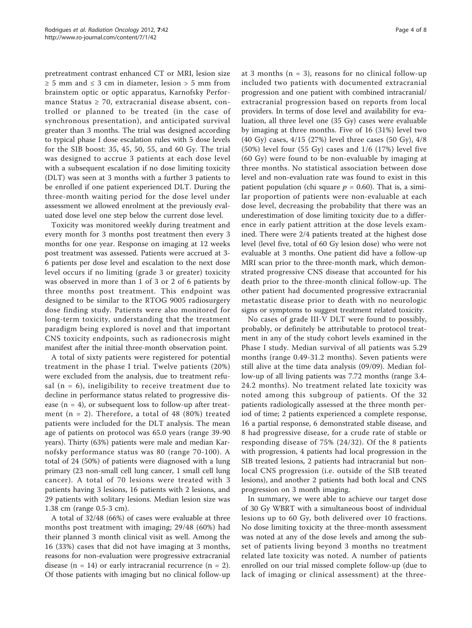pretreatment contrast enhanced CT or MRI, lesion size  $\geq$  5 mm and  $\leq$  3 cm in diameter, lesion  $>$  5 mm from brainstem optic or optic apparatus, Karnofsky Performance Status  $\geq$  70, extracranial disease absent, controlled or planned to be treated (in the case of synchronous presentation), and anticipated survival greater than 3 months. The trial was designed according to typical phase I dose escalation rules with 5 dose levels for the SIB boost: 35, 45, 50, 55, and 60 Gy. The trial was designed to accrue 3 patients at each dose level with a subsequent escalation if no dose limiting toxicity (DLT) was seen at 3 months with a further 3 patients to be enrolled if one patient experienced DLT. During the three-month waiting period for the dose level under assessment we allowed enrolment at the previously evaluated dose level one step below the current dose level.

Toxicity was monitored weekly during treatment and every month for 3 months post treatment then every 3 months for one year. Response on imaging at 12 weeks post treatment was assessed. Patients were accrued at 3- 6 patients per dose level and escalation to the next dose level occurs if no limiting (grade 3 or greater) toxicity was observed in more than 1 of 3 or 2 of 6 patients by three months post treatment. This endpoint was designed to be similar to the RTOG 9005 radiosurgery dose finding study. Patients were also monitored for long-term toxicity, understanding that the treatment paradigm being explored is novel and that important CNS toxicity endpoints, such as radionecrosis might manifest after the initial three-month observation point.

A total of sixty patients were registered for potential treatment in the phase I trial. Twelve patients (20%) were excluded from the analysis, due to treatment refusal  $(n = 6)$ , ineligibility to receive treatment due to decline in performance status related to progressive disease  $(n = 4)$ , or subsequent loss to follow-up after treatment (n = 2). Therefore, a total of 48 (80%) treated patients were included for the DLT analysis. The mean age of patients on protocol was 65.0 years (range 39-90 years). Thirty (63%) patients were male and median Karnofsky performance status was 80 (range 70-100). A total of 24 (50%) of patients were diagnosed with a lung primary (23 non-small cell lung cancer, 1 small cell lung cancer). A total of 70 lesions were treated with 3 patients having 3 lesions, 16 patients with 2 lesions, and 29 patients with solitary lesions. Median lesion size was 1.38 cm (range 0.5-3 cm).

A total of 32/48 (66%) of cases were evaluable at three months post treatment with imaging; 29/48 (60%) had their planned 3 month clinical visit as well. Among the 16 (33%) cases that did not have imaging at 3 months, reasons for non-evaluation were progressive extracranial disease ( $n = 14$ ) or early intracranial recurrence ( $n = 2$ ). Of those patients with imaging but no clinical follow-up Page 4 of 8

at 3 months ( $n = 3$ ), reasons for no clinical follow-up included two patients with documented extracranial progression and one patient with combined intracranial/ extracranial progression based on reports from local providers. In terms of dose level and availability for evaluation, all three level one (35 Gy) cases were evaluable by imaging at three months. Five of 16 (31%) level two (40 Gy) cases, 4/15 (27%) level three cases (50 Gy), 4/8 (50%) level four (55 Gy) cases and 1/6 (17%) level five (60 Gy) were found to be non-evaluable by imaging at three months. No statistical association between dose level and non-evaluation rate was found to exist in this patient population (chi square  $p = 0.60$ ). That is, a similar proportion of patients were non-evaluable at each dose level, decreasing the probability that there was an underestimation of dose limiting toxicity due to a difference in early patient attrition at the dose levels examined. There were 2/4 patients treated at the highest dose level (level five, total of 60 Gy lesion dose) who were not evaluable at 3 months. One patient did have a follow-up MRI scan prior to the three-month mark, which demonstrated progressive CNS disease that accounted for his death prior to the three-month clinical follow-up. The other patient had documented progressive extracranial metastatic disease prior to death with no neurologic signs or symptoms to suggest treatment related toxicity.

No cases of grade III-V DLT were found to possibly, probably, or definitely be attributable to protocol treatment in any of the study cohort levels examined in the Phase I study. Median survival of all patients was 5.29 months (range 0.49-31.2 months). Seven patients were still alive at the time data analysis (09/09). Median follow-up of all living patients was 7.72 months (range 3.4- 24.2 months). No treatment related late toxicity was noted among this subgroup of patients. Of the 32 patients radiologically assessed at the three month period of time; 2 patients experienced a complete response, 16 a partial response, 6 demonstrated stable disease, and 8 had progressive disease, for a crude rate of stable or responding disease of 75% (24/32). Of the 8 patients with progression, 4 patients had local progression in the SIB treated lesions, 2 patients had intracranial but nonlocal CNS progression (i.e. outside of the SIB treated lesions), and another 2 patients had both local and CNS progression on 3 month imaging.

In summary, we were able to achieve our target dose of 30 Gy WBRT with a simultaneous boost of individual lesions up to 60 Gy, both delivered over 10 fractions. No dose limiting toxicity at the three-month assessment was noted at any of the dose levels and among the subset of patients living beyond 3 months no treatment related late toxicity was noted. A number of patients enrolled on our trial missed complete follow-up (due to lack of imaging or clinical assessment) at the three-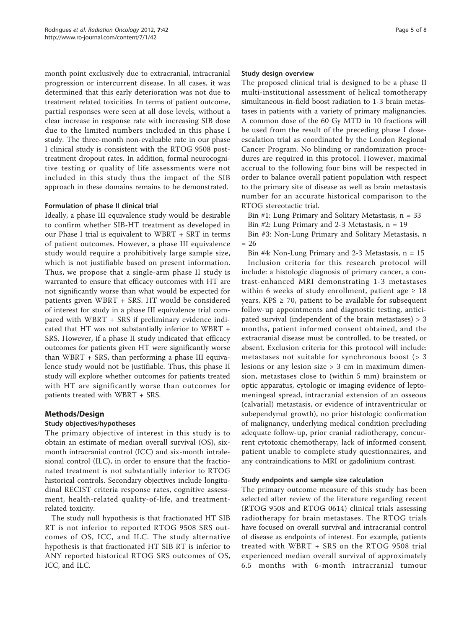month point exclusively due to extracranial, intracranial progression or intercurrent disease. In all cases, it was determined that this early deterioration was not due to treatment related toxicities. In terms of patient outcome, partial responses were seen at all dose levels, without a clear increase in response rate with increasing SIB dose due to the limited numbers included in this phase I study. The three-month non-evaluable rate in our phase I clinical study is consistent with the RTOG 9508 posttreatment dropout rates. In addition, formal neurocognitive testing or quality of life assessments were not included in this study thus the impact of the SIB approach in these domains remains to be demonstrated.

#### Formulation of phase II clinical trial

Ideally, a phase III equivalence study would be desirable to confirm whether SIB-HT treatment as developed in our Phase I trial is equivalent to WBRT + SRT in terms of patient outcomes. However, a phase III equivalence study would require a prohibitively large sample size, which is not justifiable based on present information. Thus, we propose that a single-arm phase II study is warranted to ensure that efficacy outcomes with HT are not significantly worse than what would be expected for patients given WBRT + SRS. HT would be considered of interest for study in a phase III equivalence trial compared with WBRT + SRS if preliminary evidence indicated that HT was not substantially inferior to WBRT + SRS. However, if a phase II study indicated that efficacy outcomes for patients given HT were significantly worse than WBRT + SRS, than performing a phase III equivalence study would not be justifiable. Thus, this phase II study will explore whether outcomes for patients treated with HT are significantly worse than outcomes for patients treated with WBRT + SRS.

## Methods/Design

#### Study objectives/hypotheses

The primary objective of interest in this study is to obtain an estimate of median overall survival (OS), sixmonth intracranial control (ICC) and six-month intralesional control (ILC), in order to ensure that the fractionated treatment is not substantially inferior to RTOG historical controls. Secondary objectives include longitudinal RECIST criteria response rates, cognitive assessment, health-related quality-of-life, and treatmentrelated toxicity.

The study null hypothesis is that fractionated HT SIB RT is not inferior to reported RTOG 9508 SRS outcomes of OS, ICC, and ILC. The study alternative hypothesis is that fractionated HT SIB RT is inferior to ANY reported historical RTOG SRS outcomes of OS, ICC, and ILC.

## Study design overview

The proposed clinical trial is designed to be a phase II multi-institutional assessment of helical tomotherapy simultaneous in-field boost radiation to 1-3 brain metastases in patients with a variety of primary malignancies. A common dose of the 60 Gy MTD in 10 fractions will be used from the result of the preceding phase I doseescalation trial as coordinated by the London Regional Cancer Program. No blinding or randomization procedures are required in this protocol. However, maximal accrual to the following four bins will be respected in order to balance overall patient population with respect to the primary site of disease as well as brain metastasis number for an accurate historical comparison to the RTOG stereotactic trial.

- Bin #1: Lung Primary and Solitary Metastasis,  $n = 33$
- Bin #2: Lung Primary and 2-3 Metastasis, n = 19
- Bin #3: Non-Lung Primary and Solitary Metastasis, n  $= 26$

Bin #4: Non-Lung Primary and 2-3 Metastasis,  $n = 15$ Inclusion criteria for this research protocol will include: a histologic diagnosis of primary cancer, a contrast-enhanced MRI demonstrating 1-3 metastases within 6 weeks of study enrollment, patient age  $\geq 18$ years, KPS  $\geq$  70, patient to be available for subsequent follow-up appointments and diagnostic testing, anticipated survival (independent of the brain metastases) > 3 months, patient informed consent obtained, and the extracranial disease must be controlled, to be treated, or absent. Exclusion criteria for this protocol will include: metastases not suitable for synchronous boost (> 3 lesions or any lesion size > 3 cm in maximum dimension, metastases close to (within 5 mm) brainstem or optic apparatus, cytologic or imaging evidence of leptomeningeal spread, intracranial extension of an osseous (calvarial) metastasis, or evidence of intraventricular or subependymal growth), no prior histologic confirmation of malignancy, underlying medical condition precluding adequate follow-up, prior cranial radiotherapy, concurrent cytotoxic chemotherapy, lack of informed consent, patient unable to complete study questionnaires, and any contraindications to MRI or gadolinium contrast.

#### Study endpoints and sample size calculation

The primary outcome measure of this study has been selected after review of the literature regarding recent (RTOG 9508 and RTOG 0614) clinical trials assessing radiotherapy for brain metastases. The RTOG trials have focused on overall survival and intracranial control of disease as endpoints of interest. For example, patients treated with WBRT + SRS on the RTOG 9508 trial experienced median overall survival of approximately 6.5 months with 6-month intracranial tumour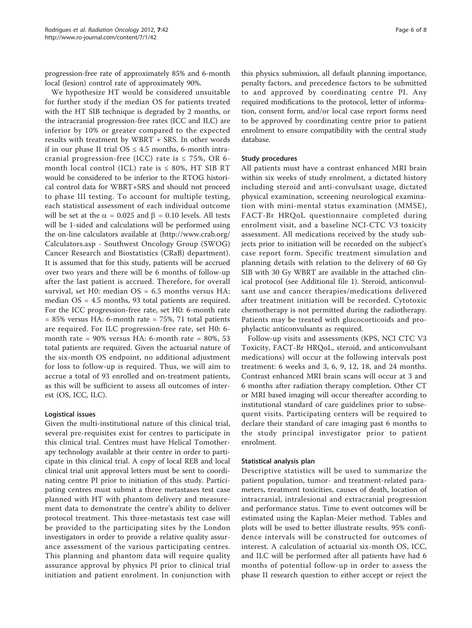progression-free rate of approximately 85% and 6-month local (lesion) control rate of approximately 90%.

We hypothesize HT would be considered unsuitable for further study if the median OS for patients treated with the HT SIB technique is degraded by 2 months, or the intracranial progression-free rates (ICC and ILC) are inferior by 10% or greater compared to the expected results with treatment by WBRT + SRS. In other words if in our phase II trial  $OS \leq 4.5$  months, 6-month intracranial progression-free (ICC) rate is  $\leq$  75%, OR 6month local control (ICL) rate is  $\leq 80\%$ , HT SIB RT would be considered to be inferior to the RTOG historical control data for WBRT+SRS and should not proceed to phase III testing. To account for multiple testing, each statistical assessment of each individual outcome will be set at the  $\alpha = 0.025$  and  $\beta = 0.10$  levels. All tests will be 1-sided and calculations will be performed using the on-line calculators available at ([http://www.crab.org/](http://www.crab.org/Calculators.asp) [Calculators.asp](http://www.crab.org/Calculators.asp) - Southwest Oncology Group (SWOG) Cancer Research and Biostatistics (CRaB) department). It is assumed that for this study, patients will be accrued over two years and there will be 6 months of follow-up after the last patient is accrued. Therefore, for overall survival, set H0: median OS = 6.5 months versus HA: median OS = 4.5 months, 93 total patients are required. For the ICC progression-free rate, set H0: 6-month rate  $= 85\%$  versus HA: 6-month rate  $= 75\%$ , 71 total patients are required. For ILC progression-free rate, set H0: 6 month rate =  $90\%$  versus HA: 6-month rate =  $80\%$ , 53 total patients are required. Given the actuarial nature of the six-month OS endpoint, no additional adjustment for loss to follow-up is required. Thus, we will aim to accrue a total of 93 enrolled and on-treatment patients, as this will be sufficient to assess all outcomes of interest (OS, ICC, ILC).

## Logistical issues

Given the multi-institutional nature of this clinical trial, several pre-requisites exist for centres to participate in this clinical trial. Centres must have Helical Tomotherapy technology available at their centre in order to participate in this clinical trial. A copy of local REB and local clinical trial unit approval letters must be sent to coordinating centre PI prior to initiation of this study. Participating centres must submit a three metastases test case planned with HT with phantom delivery and measurement data to demonstrate the centre's ability to deliver protocol treatment. This three-metastasis test case will be provided to the participating sites by the London investigators in order to provide a relative quality assurance assessment of the various participating centres. This planning and phantom data will require quality assurance approval by physics PI prior to clinical trial initiation and patient enrolment. In conjunction with

this physics submission, all default planning importance, penalty factors, and precedence factors to be submitted to and approved by coordinating centre PI. Any required modifications to the protocol, letter of information, consent form, and/or local case report forms need to be approved by coordinating centre prior to patient enrolment to ensure compatibility with the central study database.

#### Study procedures

All patients must have a contrast enhanced MRI brain within six weeks of study enrolment, a dictated history including steroid and anti-convulsant usage, dictated physical examination, screening neurological examination with mini-mental status examination (MMSE), FACT-Br HRQoL questionnaire completed during enrolment visit, and a baseline NCI-CTC V3 toxicity assessment. All medications received by the study subjects prior to initiation will be recorded on the subject's case report form. Specific treatment simulation and planning details with relation to the delivery of 60 Gy SIB with 30 Gy WBRT are available in the attached clinical protocol (see Additional file [1\)](#page-6-0). Steroid, anticonvulsant use and cancer therapies/medications delivered after treatment initiation will be recorded. Cytotoxic chemotherapy is not permitted during the radiotherapy. Patients may be treated with glucocorticoids and prophylactic anticonvulsants as required.

Follow-up visits and assessments (KPS, NCI CTC V3 Toxicity, FACT-Br HRQoL, steroid, and anticonvulsant medications) will occur at the following intervals post treatment: 6 weeks and 3, 6, 9, 12, 18, and 24 months. Contrast enhanced MRI brain scans will occur at 3 and 6 months after radiation therapy completion. Other CT or MRI based imaging will occur thereafter according to institutional standard of care guidelines prior to subsequent visits. Participating centers will be required to declare their standard of care imaging past 6 months to the study principal investigator prior to patient enrolment.

#### Statistical analysis plan

Descriptive statistics will be used to summarize the patient population, tumor- and treatment-related parameters, treatment toxicities, causes of death, location of intracranial, intralesional and extracranial progression and performance status. Time to event outcomes will be estimated using the Kaplan-Meier method. Tables and plots will be used to better illustrate results. 95% confidence intervals will be constructed for outcomes of interest. A calculation of actuarial six-month OS, ICC, and ILC will be performed after all patients have had 6 months of potential follow-up in order to assess the phase II research question to either accept or reject the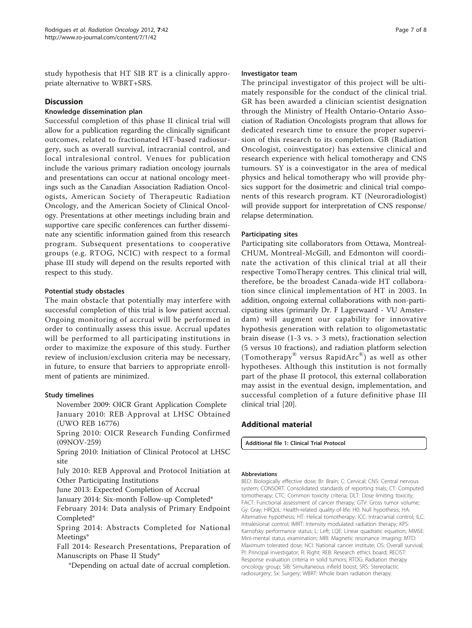<span id="page-6-0"></span>study hypothesis that HT SIB RT is a clinically appropriate alternative to WBRT+SRS.

#### **Discussion**

## Knowledge dissemination plan

Successful completion of this phase II clinical trial will allow for a publication regarding the clinically significant outcomes, related to fractionated HT-based radiosurgery, such as overall survival, intracranial control, and local intralesional control. Venues for publication include the various primary radiation oncology journals and presentations can occur at national oncology meetings such as the Canadian Association Radiation Oncologists, American Society of Therapeutic Radiation Oncology, and the American Society of Clinical Oncology. Presentations at other meetings including brain and supportive care specific conferences can further disseminate any scientific information gained from this research program. Subsequent presentations to cooperative groups (e.g. RTOG, NCIC) with respect to a formal phase III study will depend on the results reported with respect to this study.

#### Potential study obstacles

The main obstacle that potentially may interfere with successful completion of this trial is low patient accrual. Ongoing monitoring of accrual will be performed in order to continually assess this issue. Accrual updates will be performed to all participating institutions in order to maximize the exposure of this study. Further review of inclusion/exclusion criteria may be necessary, in future, to ensure that barriers to appropriate enrollment of patients are minimized.

#### Study timelines

November 2009: OICR Grant Application Complete January 2010: REB Approval at LHSC Obtained (UWO REB 16776)

Spring 2010: OICR Research Funding Confirmed (09NOV-259)

Spring 2010: Initiation of Clinical Protocol at LHSC site

July 2010: REB Approval and Protocol Initiation at Other Participating Institutions

June 2013: Expected Completion of Accrual

January 2014: Six-month Follow-up Completed\*

February 2014: Data analysis of Primary Endpoint Completed\*

Spring 2014: Abstracts Completed for National Meetings\*

Fall 2014: Research Presentations, Preparation of Manuscripts on Phase II Study\*

\*Depending on actual date of accrual completion.

#### Investigator team

The principal investigator of this project will be ultimately responsible for the conduct of the clinical trial. GR has been awarded a clinician scientist designation through the Ministry of Health Ontario-Ontario Association of Radiation Oncologists program that allows for dedicated research time to ensure the proper supervision of this research to its completion. GB (Radiation Oncologist, coinvestigator) has extensive clinical and research experience with helical tomotherapy and CNS tumours. SY is a coinvestigator in the area of medical physics and helical tomotherapy who will provide physics support for the dosimetric and clinical trial components of this research program. KT (Neuroradiologist) will provide support for interpretation of CNS response/ relapse determination.

#### Participating sites

Participating site collaborators from Ottawa, Montreal-CHUM, Montreal-McGill, and Edmonton will coordinate the activation of this clinical trial at all their respective TomoTherapy centres. This clinical trial will, therefore, be the broadest Canada-wide HT collaboration since clinical implementation of HT in 2003. In addition, ongoing external collaborations with non-participating sites (primarily Dr. F Lagerwaard - VU Amsterdam) will augment our capability for innovative hypothesis generation with relation to oligometastatic brain disease (1-3 vs. > 3 mets), fractionation selection (5 versus 10 fractions), and radiation platform selection (Tomotherapy<sup>®</sup> versus RapidArc<sup>®</sup>) as well as other hypotheses. Although this institution is not formally part of the phase II protocol, this external collaboration may assist in the eventual design, implementation, and successful completion of a future definitive phase III clinical trial [\[20](#page-7-0)].

## Additional material

[Additional file 1: C](http://www.biomedcentral.com/content/supplementary/1748-717X-7-42-S1.PDF)linical Trial Protocol.

#### Abbreviations

BED: Biologically effective dose; Br: Brain; C: Cervical; CNS: Central nervous system; CONSORT: Consolidated standards of reporting trials; CT: Computed tomotherapy; CTC: Common toxicity criteria; DLT: Dose limiting toxicity; FACT: Functional assessment of cancer therapy; GTV: Gross tumor volume; Gy: Gray; HRQoL: Health-related quality-of-life; H0: Null hypothesis; HA: Alternative hypothesis; HT: Helical tomotherapy; ICC: Intracranial control; ILC: Intralesional control; IMRT: Intensity modulated radiation therapy; KPS: Karnofsky performance status; L: Left; LQE: Linear quadratic equation; MMSE: Mini-mental status examination; MRI: Magnetic resonance imaging; MTD: Maximum tolerated dose; NCI: National cancer institute; OS: Overall survival; PI: Principal investigator; R: Right; REB: Research ethics board; RECIST: Response evaluation criteria in solid tumors; RTOG: Radiation therapy oncology group; SIB: Simultaneous infield boost; SRS: Stereotactic radiosurgery; Sx: Surgery; WBRT: Whole brain radiation therapy.